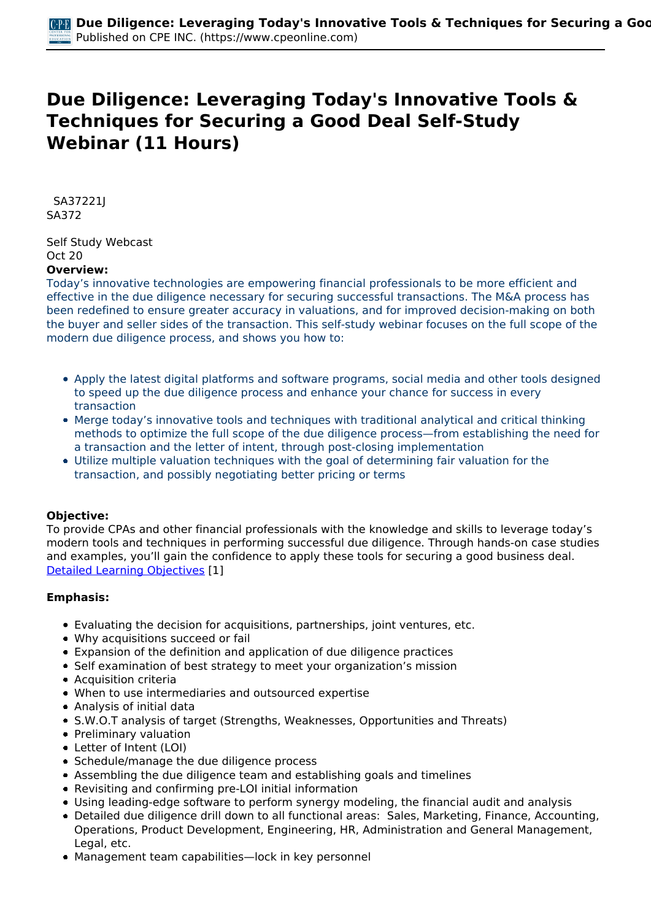# **Due Diligence: Leveraging Today's Innovative Tools & Techniques for Securing a Good Deal Self-Study Webinar (11 Hours)**

 *SA37221J SA372* 

*Self Study Webcast Oct 20*  **Overview:** 

*Today's innovative technologies are empowering financial professionals to be more efficient and effective in the due diligence necessary for securing successful transactions. The M&A process has been redefined to ensure greater accuracy in valuations, and for improved decision-making on both the buyer and seller sides of the transaction. This self-study webinar focuses on the full scope of the modern due diligence process, and shows you how to:*

- *Apply the latest digital platforms and software programs, social media and other tools designed to speed up the due diligence process and enhance your chance for success in every transaction*
- *Merge today's innovative tools and techniques with traditional analytical and critical thinking methods to optimize the full scope of the due diligence process—from establishing the need for a transaction and the letter of intent, through post-closing implementation*
- *Utilize multiple valuation techniques with the goal of determining fair valuation for the transaction, and possibly negotiating better pricing or terms*

# **Objective:**

*To provide CPAs and other financial professionals with the knowledge and skills to leverage today's modern tools and techniques in performing successful due diligence. Through hands-on case studies and examples, you'll gain the confidence to apply these tools for securing a good business deal. [Detailed Learning Objectives](https://www.cpeonline.com/JavaScript:showObjectivesPopup();) [1]*

# **Emphasis:**

- *Evaluating the decision for acquisitions, partnerships, joint ventures, etc.*
- *Why acquisitions succeed or fail*
- *Expansion of the definition and application of due diligence practices*
- *Self examination of best strategy to meet your organization's mission*
- *Acquisition criteria*
- *When to use intermediaries and outsourced expertise*
- *Analysis of initial data*
- *S.W.O.T analysis of target (Strengths, Weaknesses, Opportunities and Threats)*
- *Preliminary valuation*
- *Letter of Intent (LOI)*
- *Schedule/manage the due diligence process*
- *Assembling the due diligence team and establishing goals and timelines*
- *Revisiting and confirming pre-LOI initial information*
- *Using leading-edge software to perform synergy modeling, the financial audit and analysis*
- *Detailed due diligence drill down to all functional areas: Sales, Marketing, Finance, Accounting, Operations, Product Development, Engineering, HR, Administration and General Management, Legal, etc.*
- *Management team capabilities—lock in key personnel*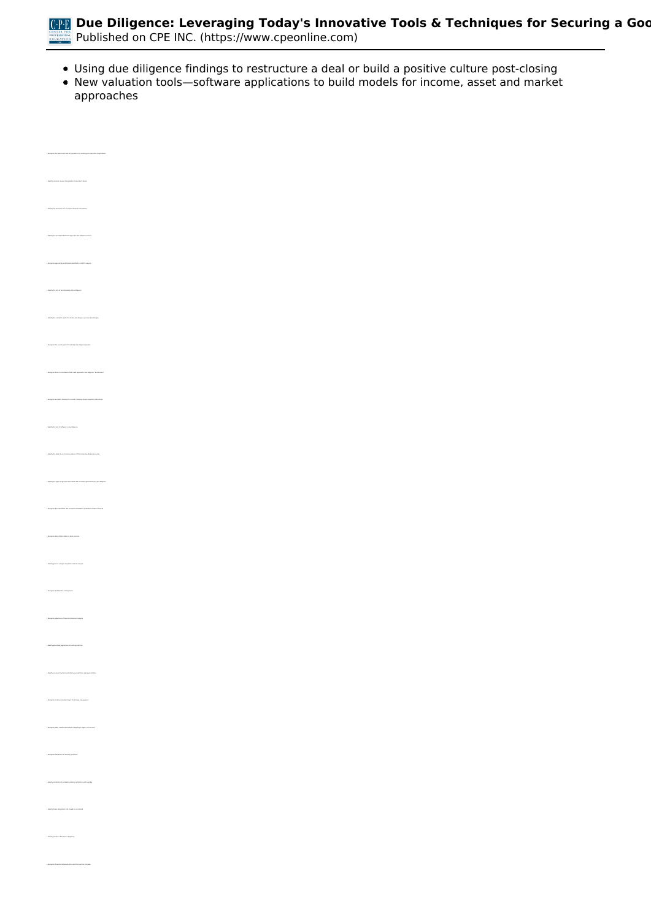

- *Using due diligence findings to restructure a deal or build a positive culture post-closing*
- *New valuation tools—software applications to build models for income, asset and market approaches*

| whether success of anywhittens in massing process<br>photons expectations.                                                                            |  |
|-------------------------------------------------------------------------------------------------------------------------------------------------------|--|
| tion failures<br>.<br>I racon of arquisiton ing                                                                                                       |  |
| .<br>They elements of a summabilizations transaction                                                                                                  |  |
| $\frac{1}{2}$ in the contract of the state in the state of the state of $\mathcal{C}$                                                                 |  |
| $\epsilon$ function approach and threats interified in a SHST analysis .                                                                              |  |
| interestly that rate and interactions acting to the militigation                                                                                      |  |
| riged in which the furnal tius dispose process should keep -                                                                                          |  |
| . Recaption the mornal grads of the formal due diligence process. $\cdots$                                                                            |  |
| where clears above that end is special a due disperse "dual bracker" .                                                                                |  |
| nim a maskala timalina he a small, mlatinaly simple ampubilion homoantien                                                                             |  |
| and plant is the following of the state                                                                                                               |  |
| finan of sation phases of the formal due diligence process                                                                                            |  |
| town of general information that should be gathered during the ellipsour.                                                                             |  |
| mobile reviewed in evaluation human resources.                                                                                                        |  |
|                                                                                                                                                       |  |
| $\gamma$ is<br>lestify grads of a target amplitude                                                                                                    |  |
|                                                                                                                                                       |  |
|                                                                                                                                                       |  |
| $\gamma$ interly prioritely approximates constitutions to                                                                                             |  |
| $\epsilon$ identify nonresording items potentially assess<br>this to management item.                                                                 |  |
| $\epsilon$ function is some statement signs of earnings management<br>$\circ$ Recognize likely considerations when analyzing a harger<br>functions on |  |
|                                                                                                                                                       |  |
| $\circ$ Recognize instructions of invertice) problems.                                                                                                |  |
| $\tau$ interfly industries, of potential problems, within accounts, payable                                                                           |  |
| $\gamma$ intersty bases shippines that should be senditional.                                                                                         |  |
| $\gamma$ insuly produce of indexes shippings.                                                                                                         |  |